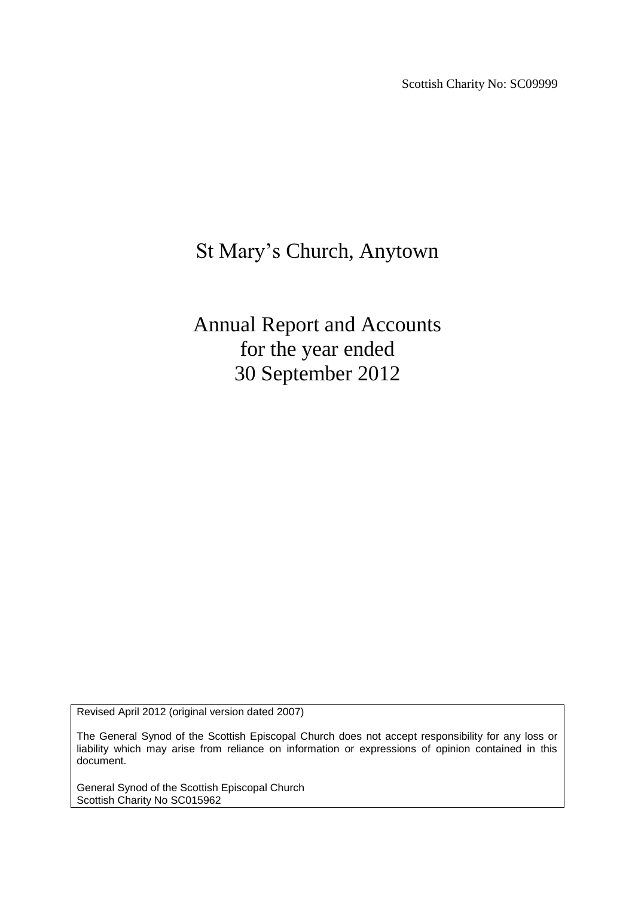Scottish Charity No: SC09999

# St Mary's Church, Anytown

Annual Report and Accounts for the year ended 30 September 2012

Revised April 2012 (original version dated 2007)

The General Synod of the Scottish Episcopal Church does not accept responsibility for any loss or liability which may arise from reliance on information or expressions of opinion contained in this document.

General Synod of the Scottish Episcopal Church Scottish Charity No SC015962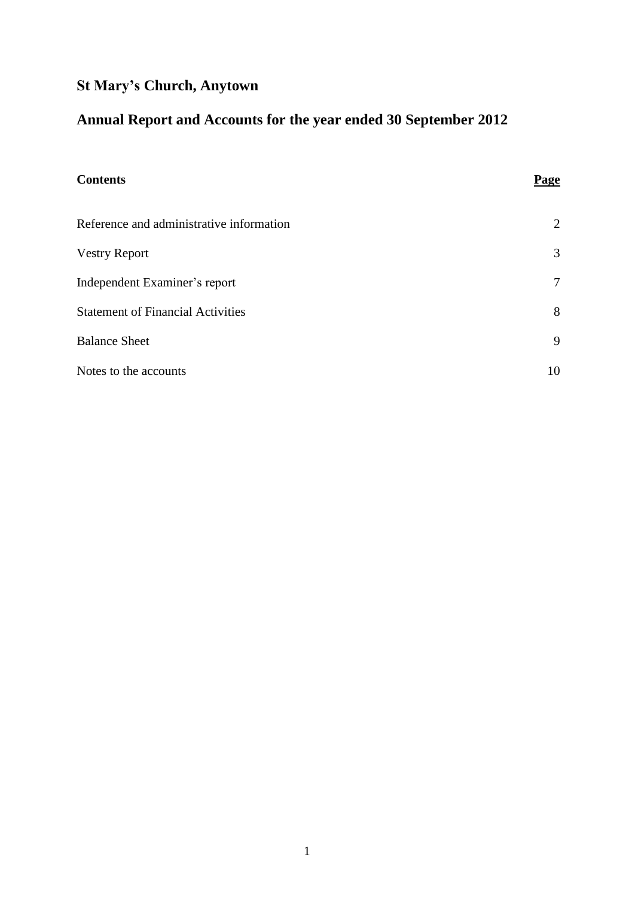## **St Mary's Church, Anytown**

## **Annual Report and Accounts for the year ended 30 September 2012**

| <b>Contents</b>                          | Page   |
|------------------------------------------|--------|
| Reference and administrative information | 2      |
| <b>Vestry Report</b>                     | 3      |
| Independent Examiner's report            | $\tau$ |
| <b>Statement of Financial Activities</b> | 8      |
| <b>Balance Sheet</b>                     | 9      |
| Notes to the accounts                    | 10     |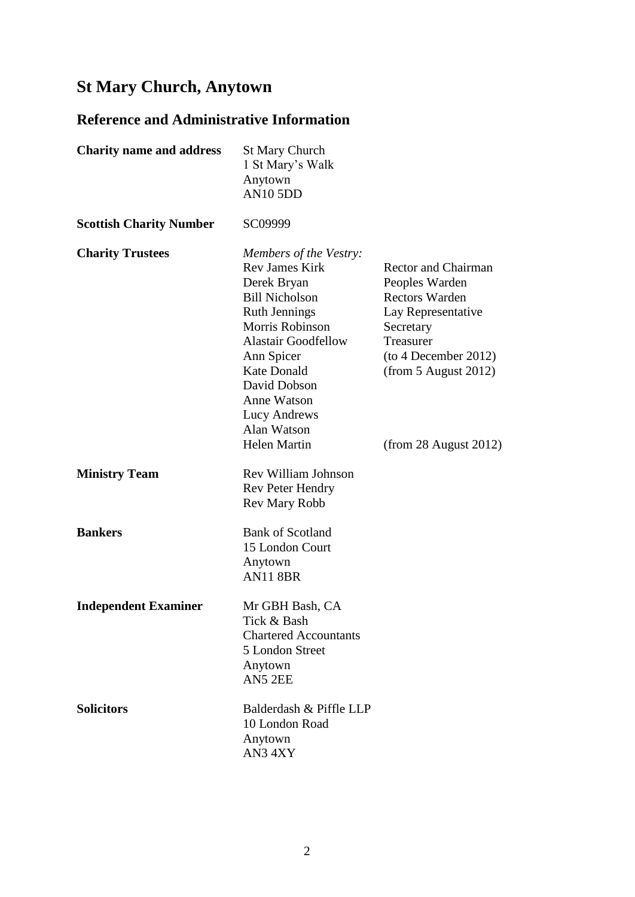## **St Mary Church, Anytown**

## **Reference and Administrative Information**

| <b>Charity name and address</b> | <b>St Mary Church</b><br>1 St Mary's Walk<br>Anytown<br><b>AN10 5DD</b>                                                                                                                                                                                                                   |                                                                                                                                                                                                |
|---------------------------------|-------------------------------------------------------------------------------------------------------------------------------------------------------------------------------------------------------------------------------------------------------------------------------------------|------------------------------------------------------------------------------------------------------------------------------------------------------------------------------------------------|
| <b>Scottish Charity Number</b>  | SC09999                                                                                                                                                                                                                                                                                   |                                                                                                                                                                                                |
| <b>Charity Trustees</b>         | Members of the Vestry:<br><b>Rev James Kirk</b><br>Derek Bryan<br><b>Bill Nicholson</b><br><b>Ruth Jennings</b><br>Morris Robinson<br><b>Alastair Goodfellow</b><br>Ann Spicer<br><b>Kate Donald</b><br>David Dobson<br>Anne Watson<br>Lucy Andrews<br>Alan Watson<br><b>Helen Martin</b> | <b>Rector and Chairman</b><br>Peoples Warden<br><b>Rectors Warden</b><br>Lay Representative<br>Secretary<br>Treasurer<br>(to 4 December 2012)<br>(from 5 August 2012)<br>(from 28 August 2012) |
| <b>Ministry Team</b>            | Rev William Johnson<br><b>Rev Peter Hendry</b><br><b>Rev Mary Robb</b>                                                                                                                                                                                                                    |                                                                                                                                                                                                |
| <b>Bankers</b>                  | <b>Bank of Scotland</b><br>15 London Court<br>Anytown<br><b>AN11 8BR</b>                                                                                                                                                                                                                  |                                                                                                                                                                                                |
| <b>Independent Examiner</b>     | Mr GBH Bash, CA<br>Tick & Bash<br><b>Chartered Accountants</b><br>5 London Street<br>Anytown<br>AN5 2EE                                                                                                                                                                                   |                                                                                                                                                                                                |
| <b>Solicitors</b>               | Balderdash & Piffle LLP<br>10 London Road<br>Anytown<br>AN34XY                                                                                                                                                                                                                            |                                                                                                                                                                                                |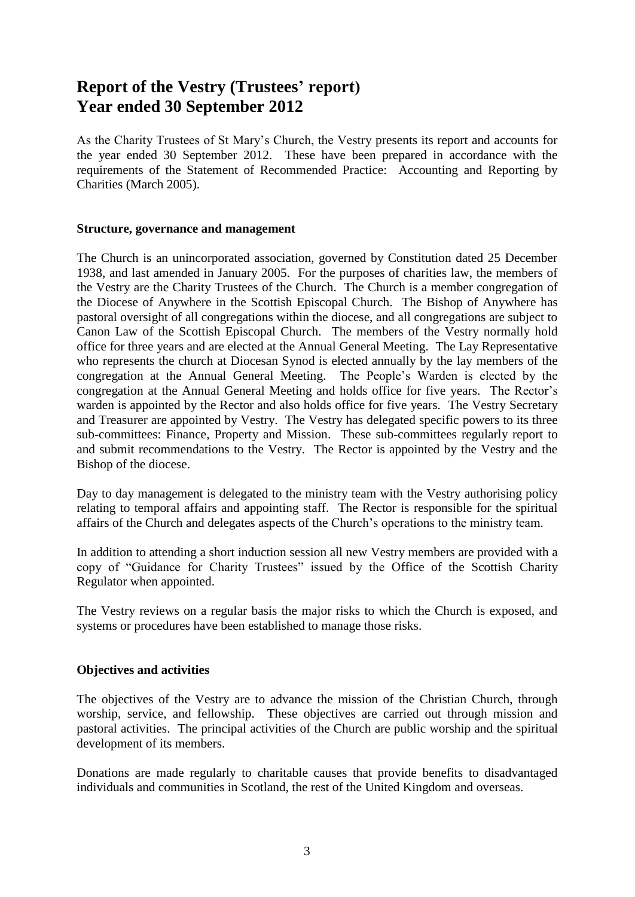### **Report of the Vestry (Trustees' report) Year ended 30 September 2012**

As the Charity Trustees of St Mary's Church, the Vestry presents its report and accounts for the year ended 30 September 2012. These have been prepared in accordance with the requirements of the Statement of Recommended Practice: Accounting and Reporting by Charities (March 2005).

#### **Structure, governance and management**

The Church is an unincorporated association, governed by Constitution dated 25 December 1938, and last amended in January 2005. For the purposes of charities law, the members of the Vestry are the Charity Trustees of the Church. The Church is a member congregation of the Diocese of Anywhere in the Scottish Episcopal Church. The Bishop of Anywhere has pastoral oversight of all congregations within the diocese, and all congregations are subject to Canon Law of the Scottish Episcopal Church. The members of the Vestry normally hold office for three years and are elected at the Annual General Meeting. The Lay Representative who represents the church at Diocesan Synod is elected annually by the lay members of the congregation at the Annual General Meeting. The People's Warden is elected by the congregation at the Annual General Meeting and holds office for five years. The Rector's warden is appointed by the Rector and also holds office for five years. The Vestry Secretary and Treasurer are appointed by Vestry. The Vestry has delegated specific powers to its three sub-committees: Finance, Property and Mission. These sub-committees regularly report to and submit recommendations to the Vestry. The Rector is appointed by the Vestry and the Bishop of the diocese.

Day to day management is delegated to the ministry team with the Vestry authorising policy relating to temporal affairs and appointing staff. The Rector is responsible for the spiritual affairs of the Church and delegates aspects of the Church's operations to the ministry team.

In addition to attending a short induction session all new Vestry members are provided with a copy of "Guidance for Charity Trustees" issued by the Office of the Scottish Charity Regulator when appointed.

The Vestry reviews on a regular basis the major risks to which the Church is exposed, and systems or procedures have been established to manage those risks.

#### **Objectives and activities**

The objectives of the Vestry are to advance the mission of the Christian Church, through worship, service, and fellowship. These objectives are carried out through mission and pastoral activities. The principal activities of the Church are public worship and the spiritual development of its members.

Donations are made regularly to charitable causes that provide benefits to disadvantaged individuals and communities in Scotland, the rest of the United Kingdom and overseas.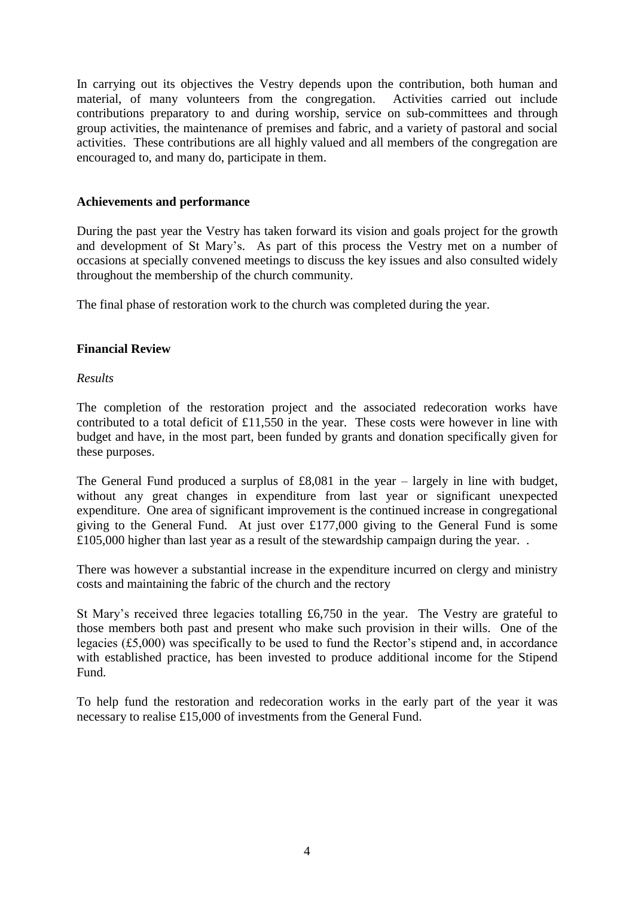In carrying out its objectives the Vestry depends upon the contribution, both human and material, of many volunteers from the congregation. Activities carried out include contributions preparatory to and during worship, service on sub-committees and through group activities, the maintenance of premises and fabric, and a variety of pastoral and social activities. These contributions are all highly valued and all members of the congregation are encouraged to, and many do, participate in them.

#### **Achievements and performance**

During the past year the Vestry has taken forward its vision and goals project for the growth and development of St Mary's. As part of this process the Vestry met on a number of occasions at specially convened meetings to discuss the key issues and also consulted widely throughout the membership of the church community.

The final phase of restoration work to the church was completed during the year.

#### **Financial Review**

#### *Results*

The completion of the restoration project and the associated redecoration works have contributed to a total deficit of £11,550 in the year. These costs were however in line with budget and have, in the most part, been funded by grants and donation specifically given for these purposes.

The General Fund produced a surplus of  $£8,081$  in the year – largely in line with budget, without any great changes in expenditure from last year or significant unexpected expenditure. One area of significant improvement is the continued increase in congregational giving to the General Fund. At just over £177,000 giving to the General Fund is some £105,000 higher than last year as a result of the stewardship campaign during the year. .

There was however a substantial increase in the expenditure incurred on clergy and ministry costs and maintaining the fabric of the church and the rectory

St Mary's received three legacies totalling £6,750 in the year. The Vestry are grateful to those members both past and present who make such provision in their wills. One of the legacies (£5,000) was specifically to be used to fund the Rector's stipend and, in accordance with established practice, has been invested to produce additional income for the Stipend Fund.

To help fund the restoration and redecoration works in the early part of the year it was necessary to realise £15,000 of investments from the General Fund.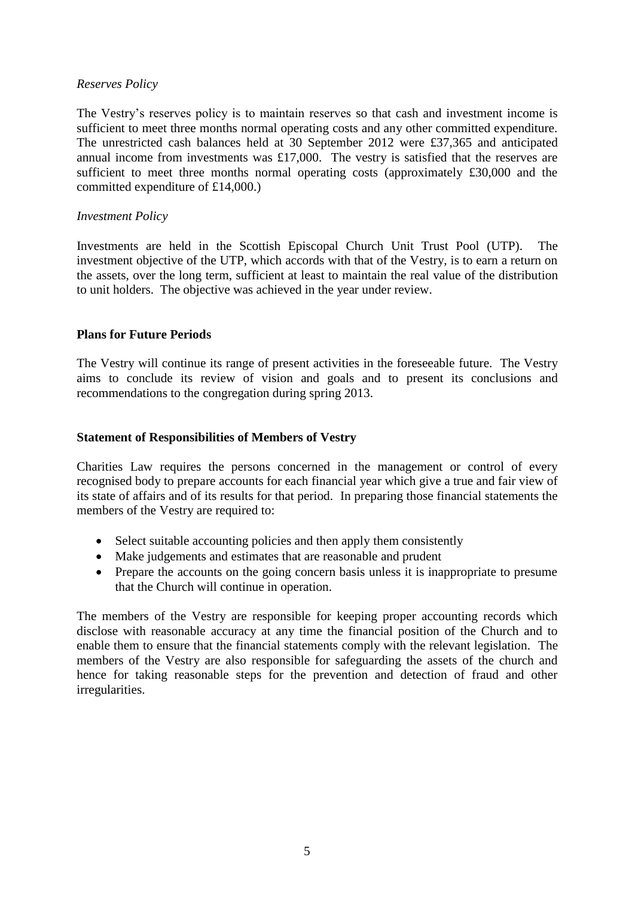#### *Reserves Policy*

The Vestry's reserves policy is to maintain reserves so that cash and investment income is sufficient to meet three months normal operating costs and any other committed expenditure. The unrestricted cash balances held at 30 September 2012 were £37,365 and anticipated annual income from investments was £17,000. The vestry is satisfied that the reserves are sufficient to meet three months normal operating costs (approximately £30,000 and the committed expenditure of £14,000.)

#### *Investment Policy*

Investments are held in the Scottish Episcopal Church Unit Trust Pool (UTP). The investment objective of the UTP, which accords with that of the Vestry, is to earn a return on the assets, over the long term, sufficient at least to maintain the real value of the distribution to unit holders. The objective was achieved in the year under review.

#### **Plans for Future Periods**

The Vestry will continue its range of present activities in the foreseeable future. The Vestry aims to conclude its review of vision and goals and to present its conclusions and recommendations to the congregation during spring 2013.

#### **Statement of Responsibilities of Members of Vestry**

Charities Law requires the persons concerned in the management or control of every recognised body to prepare accounts for each financial year which give a true and fair view of its state of affairs and of its results for that period. In preparing those financial statements the members of the Vestry are required to:

- Select suitable accounting policies and then apply them consistently
- Make judgements and estimates that are reasonable and prudent
- Prepare the accounts on the going concern basis unless it is inappropriate to presume that the Church will continue in operation.

The members of the Vestry are responsible for keeping proper accounting records which disclose with reasonable accuracy at any time the financial position of the Church and to enable them to ensure that the financial statements comply with the relevant legislation. The members of the Vestry are also responsible for safeguarding the assets of the church and hence for taking reasonable steps for the prevention and detection of fraud and other irregularities.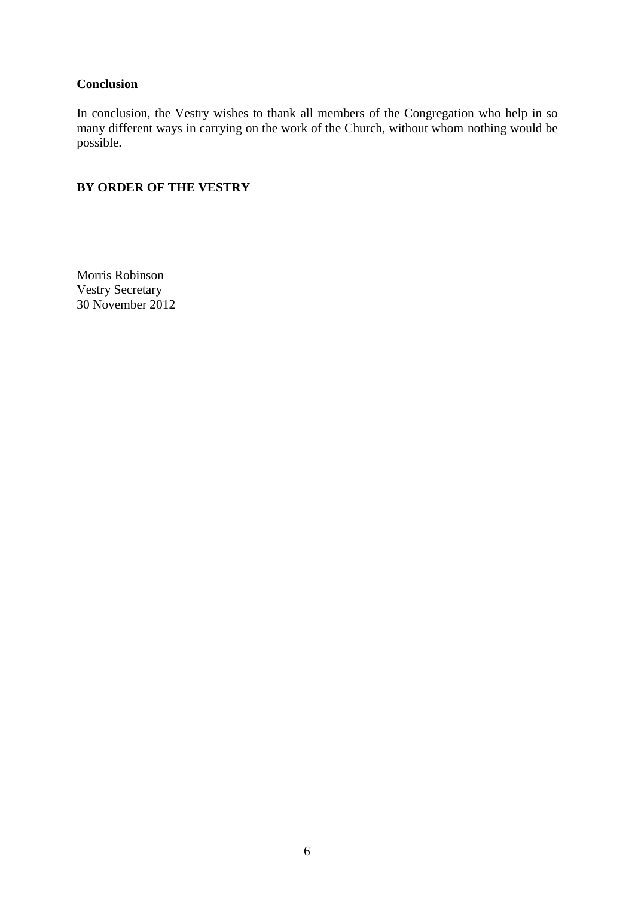#### **Conclusion**

In conclusion, the Vestry wishes to thank all members of the Congregation who help in so many different ways in carrying on the work of the Church, without whom nothing would be possible.

#### **BY ORDER OF THE VESTRY**

Morris Robinson Vestry Secretary 30 November 2012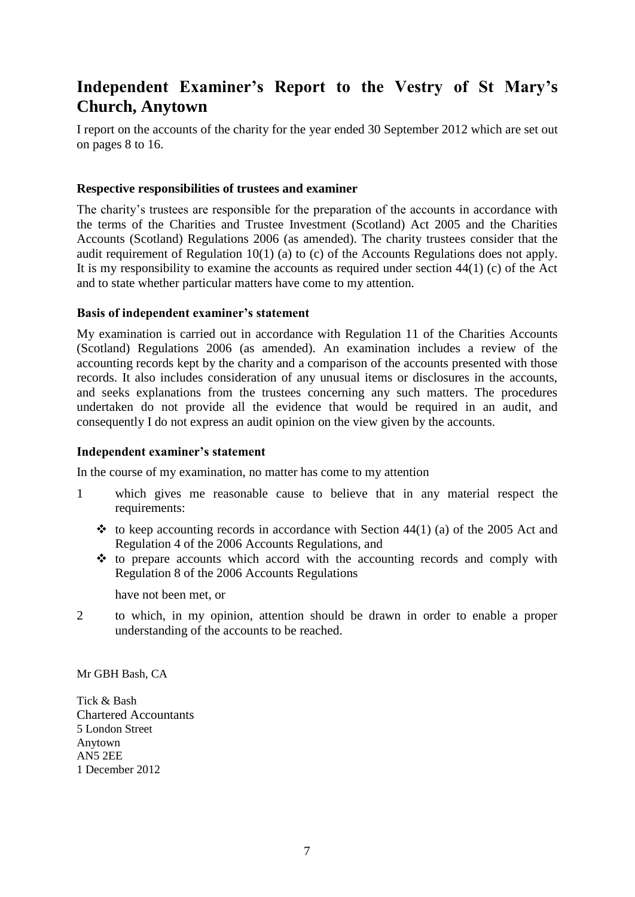### **Independent Examiner's Report to the Vestry of St Mary's Church, Anytown**

I report on the accounts of the charity for the year ended 30 September 2012 which are set out on pages 8 to 16.

#### **Respective responsibilities of trustees and examiner**

The charity's trustees are responsible for the preparation of the accounts in accordance with the terms of the Charities and Trustee Investment (Scotland) Act 2005 and the Charities Accounts (Scotland) Regulations 2006 (as amended). The charity trustees consider that the audit requirement of Regulation 10(1) (a) to (c) of the Accounts Regulations does not apply. It is my responsibility to examine the accounts as required under section 44(1) (c) of the Act and to state whether particular matters have come to my attention.

#### **Basis of independent examiner's statement**

My examination is carried out in accordance with Regulation 11 of the Charities Accounts (Scotland) Regulations 2006 (as amended). An examination includes a review of the accounting records kept by the charity and a comparison of the accounts presented with those records. It also includes consideration of any unusual items or disclosures in the accounts, and seeks explanations from the trustees concerning any such matters. The procedures undertaken do not provide all the evidence that would be required in an audit, and consequently I do not express an audit opinion on the view given by the accounts.

#### **Independent examiner's statement**

In the course of my examination, no matter has come to my attention

- 1 which gives me reasonable cause to believe that in any material respect the requirements:
	- $\div$  to keep accounting records in accordance with Section 44(1) (a) of the 2005 Act and Regulation 4 of the 2006 Accounts Regulations, and
	- $\triangle$  to prepare accounts which accord with the accounting records and comply with Regulation 8 of the 2006 Accounts Regulations

have not been met, or

2 to which, in my opinion, attention should be drawn in order to enable a proper understanding of the accounts to be reached.

Mr GBH Bash, CA

Tick & Bash Chartered Accountants 5 London Street Anytown AN5 2EE 1 December 2012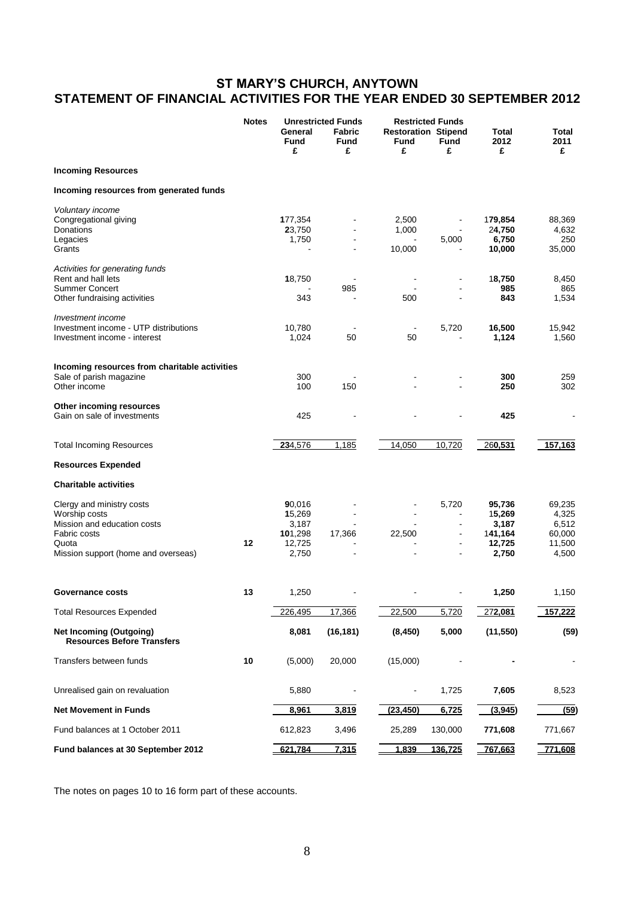#### **ST MARY'S CHURCH, ANYTOWN STATEMENT OF FINANCIAL ACTIVITIES FOR THE YEAR ENDED 30 SEPTEMBER 2012**

|                                                                                                                                           | <b>Notes</b> | General<br><b>Fund</b><br>£                             | <b>Unrestricted Funds</b><br><b>Fabric</b><br><b>Fund</b><br>£ | <b>Restoration Stipend</b><br>Fund<br>£ | <b>Restricted Funds</b><br><b>Fund</b><br>£     | Total<br>2012<br>£                                      | Total<br>2011<br>£                                    |
|-------------------------------------------------------------------------------------------------------------------------------------------|--------------|---------------------------------------------------------|----------------------------------------------------------------|-----------------------------------------|-------------------------------------------------|---------------------------------------------------------|-------------------------------------------------------|
| <b>Incoming Resources</b>                                                                                                                 |              |                                                         |                                                                |                                         |                                                 |                                                         |                                                       |
| Incoming resources from generated funds                                                                                                   |              |                                                         |                                                                |                                         |                                                 |                                                         |                                                       |
| Voluntary income<br>Congregational giving<br>Donations<br>Legacies                                                                        |              | 177,354<br>23,750<br>1,750                              | $\overline{a}$                                                 | 2,500<br>1,000                          | $\overline{\phantom{a}}$<br>5,000               | 179,854<br>24,750<br>6,750                              | 88,369<br>4,632<br>250                                |
| Grants                                                                                                                                    |              |                                                         |                                                                | 10,000                                  |                                                 | 10,000                                                  | 35,000                                                |
| Activities for generating funds<br>Rent and hall lets<br><b>Summer Concert</b><br>Other fundraising activities                            |              | 18,750<br>343                                           | 985                                                            | 500                                     |                                                 | 18,750<br>985<br>843                                    | 8,450<br>865<br>1,534                                 |
|                                                                                                                                           |              |                                                         |                                                                |                                         |                                                 |                                                         |                                                       |
| Investment income<br>Investment income - UTP distributions<br>Investment income - interest                                                |              | 10,780<br>1,024                                         | 50                                                             | 50                                      | 5,720                                           | 16,500<br>1,124                                         | 15,942<br>1,560                                       |
| Incoming resources from charitable activities<br>Sale of parish magazine<br>Other income                                                  |              | 300<br>100                                              | 150                                                            |                                         |                                                 | 300<br>250                                              | 259<br>302                                            |
| Other incoming resources<br>Gain on sale of investments                                                                                   |              | 425                                                     |                                                                |                                         |                                                 | 425                                                     |                                                       |
| <b>Total Incoming Resources</b>                                                                                                           |              | 234,576                                                 | 1,185                                                          | 14,050                                  | 10,720                                          | 260,531                                                 | 157,163                                               |
| <b>Resources Expended</b>                                                                                                                 |              |                                                         |                                                                |                                         |                                                 |                                                         |                                                       |
| <b>Charitable activities</b>                                                                                                              |              |                                                         |                                                                |                                         |                                                 |                                                         |                                                       |
| Clergy and ministry costs<br>Worship costs<br>Mission and education costs<br>Fabric costs<br>Quota<br>Mission support (home and overseas) | 12           | 90,016<br>15,269<br>3,187<br>101,298<br>12,725<br>2,750 | $\blacksquare$<br>17,366<br>ä,                                 | 22,500                                  | 5,720<br>$\blacksquare$<br>$\blacksquare$<br>÷, | 95,736<br>15,269<br>3,187<br>141,164<br>12,725<br>2,750 | 69,235<br>4,325<br>6,512<br>60,000<br>11,500<br>4,500 |
| <b>Governance costs</b>                                                                                                                   | 13           | 1,250                                                   |                                                                |                                         |                                                 | 1,250                                                   | 1,150                                                 |
| <b>Total Resources Expended</b>                                                                                                           |              | 226,495                                                 | 17,366                                                         | 22,500                                  | 5,720                                           | 272,081                                                 | 157,222                                               |
| <b>Net Incoming (Outgoing)</b><br><b>Resources Before Transfers</b>                                                                       |              | 8,081                                                   | (16, 181)                                                      | (8, 450)                                | 5,000                                           | (11, 550)                                               | (59)                                                  |
| Transfers between funds                                                                                                                   | 10           | (5,000)                                                 | 20,000                                                         | (15,000)                                |                                                 |                                                         |                                                       |
| Unrealised gain on revaluation                                                                                                            |              | 5,880                                                   |                                                                |                                         | 1,725                                           | 7,605                                                   | 8,523                                                 |
| <b>Net Movement in Funds</b>                                                                                                              |              | 8,961                                                   | 3,819                                                          | (23, 450)                               | 6,725                                           | (3,945)                                                 | (59)                                                  |
| Fund balances at 1 October 2011                                                                                                           |              | 612,823                                                 | 3,496                                                          | 25,289                                  | 130,000                                         | 771,608                                                 | 771,667                                               |
| Fund balances at 30 September 2012                                                                                                        |              | 621,784                                                 | 7,315                                                          | 1,839                                   | 136,725                                         | 767,663                                                 | 771,608                                               |

The notes on pages 10 to 16 form part of these accounts.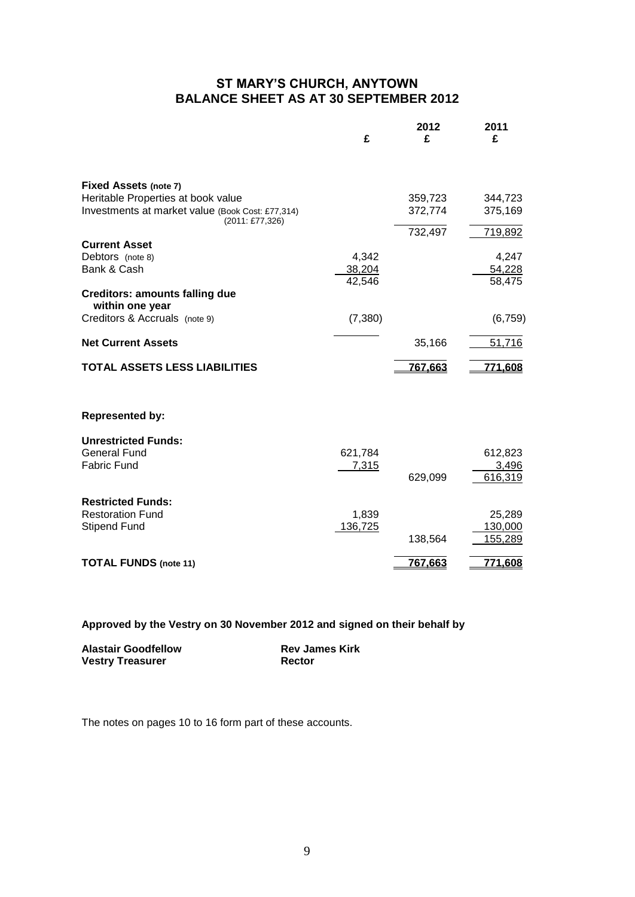#### **ST MARY'S CHURCH, ANYTOWN BALANCE SHEET AS AT 30 SEPTEMBER 2012**

|                                                                            | £                         | 2012<br>£ | 2011<br>£                 |
|----------------------------------------------------------------------------|---------------------------|-----------|---------------------------|
| <b>Fixed Assets (note 7)</b><br>Heritable Properties at book value         |                           | 359,723   | 344,723                   |
| Investments at market value (Book Cost: £77,314)<br>(2011: £77,326)        |                           | 372,774   | 375,169                   |
| <b>Current Asset</b>                                                       |                           | 732,497   | 719,892                   |
| Debtors (note 8)<br>Bank & Cash                                            | 4,342<br>38,204<br>42,546 |           | 4,247<br>54,228<br>58,475 |
| <b>Creditors: amounts falling due</b><br>within one year                   |                           |           |                           |
| Creditors & Accruals (note 9)                                              | (7,380)                   |           | (6, 759)                  |
| <b>Net Current Assets</b>                                                  |                           | 35,166    | 51,716                    |
| <b>TOTAL ASSETS LESS LIABILITIES</b>                                       |                           | 767,663   | 771,608                   |
| <b>Represented by:</b>                                                     |                           |           |                           |
| <b>Unrestricted Funds:</b><br><b>General Fund</b><br><b>Fabric Fund</b>    | 621,784<br>7,315          |           | 612,823<br>3,496          |
|                                                                            |                           | 629,099   | 616,319                   |
| <b>Restricted Funds:</b><br><b>Restoration Fund</b><br><b>Stipend Fund</b> | 1,839<br>136,725          |           | 25,289<br>130,000         |
|                                                                            |                           | 138,564   | 155,289                   |
| <b>TOTAL FUNDS (note 11)</b>                                               |                           | 767,663   | 771,608                   |

**Approved by the Vestry on 30 November 2012 and signed on their behalf by**

| <b>Alastair Goodfellow</b> | <b>Rev James Kirk</b> |
|----------------------------|-----------------------|
| <b>Vestry Treasurer</b>    | Rector                |

The notes on pages 10 to 16 form part of these accounts.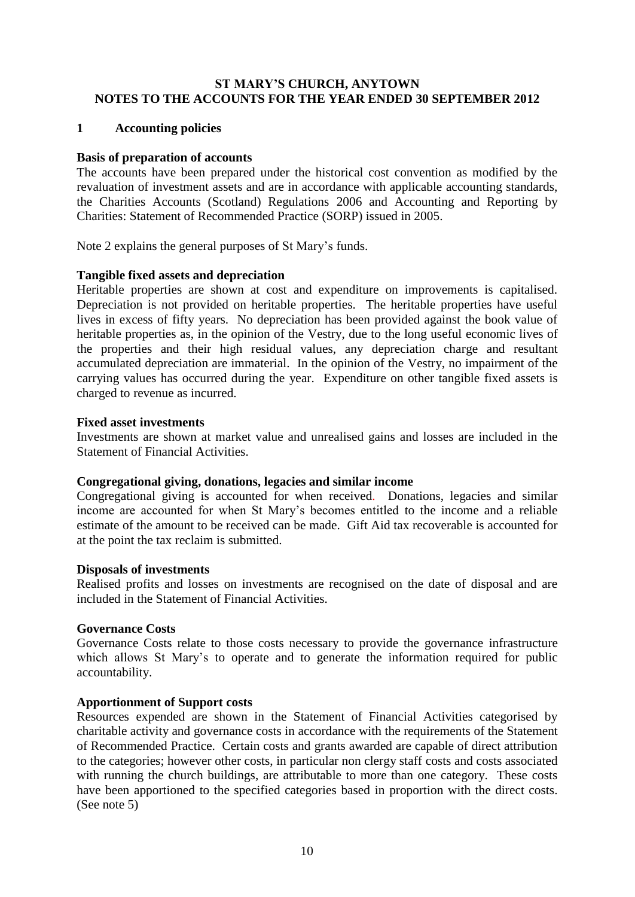#### **ST MARY'S CHURCH, ANYTOWN NOTES TO THE ACCOUNTS FOR THE YEAR ENDED 30 SEPTEMBER 2012**

#### **1 Accounting policies**

#### **Basis of preparation of accounts**

The accounts have been prepared under the historical cost convention as modified by the revaluation of investment assets and are in accordance with applicable accounting standards, the Charities Accounts (Scotland) Regulations 2006 and Accounting and Reporting by Charities: Statement of Recommended Practice (SORP) issued in 2005.

Note 2 explains the general purposes of St Mary's funds.

#### **Tangible fixed assets and depreciation**

Heritable properties are shown at cost and expenditure on improvements is capitalised. Depreciation is not provided on heritable properties. The heritable properties have useful lives in excess of fifty years. No depreciation has been provided against the book value of heritable properties as, in the opinion of the Vestry, due to the long useful economic lives of the properties and their high residual values, any depreciation charge and resultant accumulated depreciation are immaterial. In the opinion of the Vestry, no impairment of the carrying values has occurred during the year. Expenditure on other tangible fixed assets is charged to revenue as incurred.

#### **Fixed asset investments**

Investments are shown at market value and unrealised gains and losses are included in the Statement of Financial Activities.

#### **Congregational giving, donations, legacies and similar income**

Congregational giving is accounted for when received. Donations, legacies and similar income are accounted for when St Mary's becomes entitled to the income and a reliable estimate of the amount to be received can be made. Gift Aid tax recoverable is accounted for at the point the tax reclaim is submitted.

#### **Disposals of investments**

Realised profits and losses on investments are recognised on the date of disposal and are included in the Statement of Financial Activities.

#### **Governance Costs**

Governance Costs relate to those costs necessary to provide the governance infrastructure which allows St Mary's to operate and to generate the information required for public accountability.

#### **Apportionment of Support costs**

Resources expended are shown in the Statement of Financial Activities categorised by charitable activity and governance costs in accordance with the requirements of the Statement of Recommended Practice. Certain costs and grants awarded are capable of direct attribution to the categories; however other costs, in particular non clergy staff costs and costs associated with running the church buildings, are attributable to more than one category. These costs have been apportioned to the specified categories based in proportion with the direct costs. (See note 5)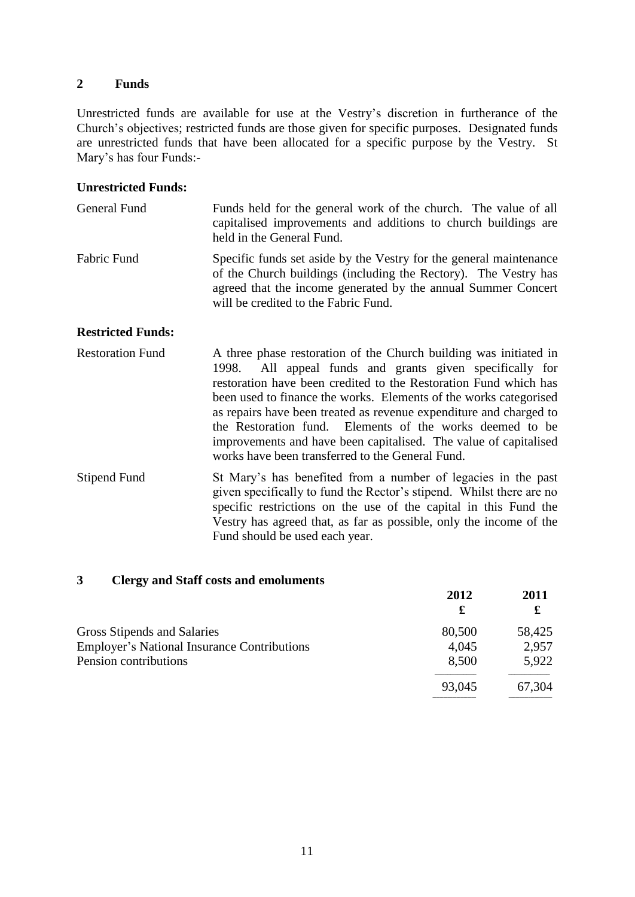#### **2 Funds**

Unrestricted funds are available for use at the Vestry's discretion in furtherance of the Church's objectives; restricted funds are those given for specific purposes. Designated funds are unrestricted funds that have been allocated for a specific purpose by the Vestry. St Mary's has four Funds:-

#### **Unrestricted Funds:**

| General Fund | Funds held for the general work of the church. The value of all<br>capitalised improvements and additions to church buildings are<br>held in the General Fund.                                                                                 |
|--------------|------------------------------------------------------------------------------------------------------------------------------------------------------------------------------------------------------------------------------------------------|
| Fabric Fund  | Specific funds set aside by the Vestry for the general maintenance<br>of the Church buildings (including the Rectory). The Vestry has<br>agreed that the income generated by the annual Summer Concert<br>will be credited to the Fabric Fund. |

#### **Restricted Funds:**

- Restoration Fund A three phase restoration of the Church building was initiated in 1998. All appeal funds and grants given specifically for restoration have been credited to the Restoration Fund which has been used to finance the works. Elements of the works categorised as repairs have been treated as revenue expenditure and charged to the Restoration fund. Elements of the works deemed to be improvements and have been capitalised. The value of capitalised works have been transferred to the General Fund.
- Stipend Fund St Mary's has benefited from a number of legacies in the past given specifically to fund the Rector's stipend. Whilst there are no specific restrictions on the use of the capital in this Fund the Vestry has agreed that, as far as possible, only the income of the Fund should be used each year.

#### **3 Clergy and Staff costs and emoluments**

|                                                    | 2012   | 2011   |
|----------------------------------------------------|--------|--------|
|                                                    | £      | £      |
| Gross Stipends and Salaries                        | 80,500 | 58,425 |
| <b>Employer's National Insurance Contributions</b> | 4,045  | 2,957  |
| Pension contributions                              | 8,500  | 5,922  |
|                                                    | 93,045 | 67,304 |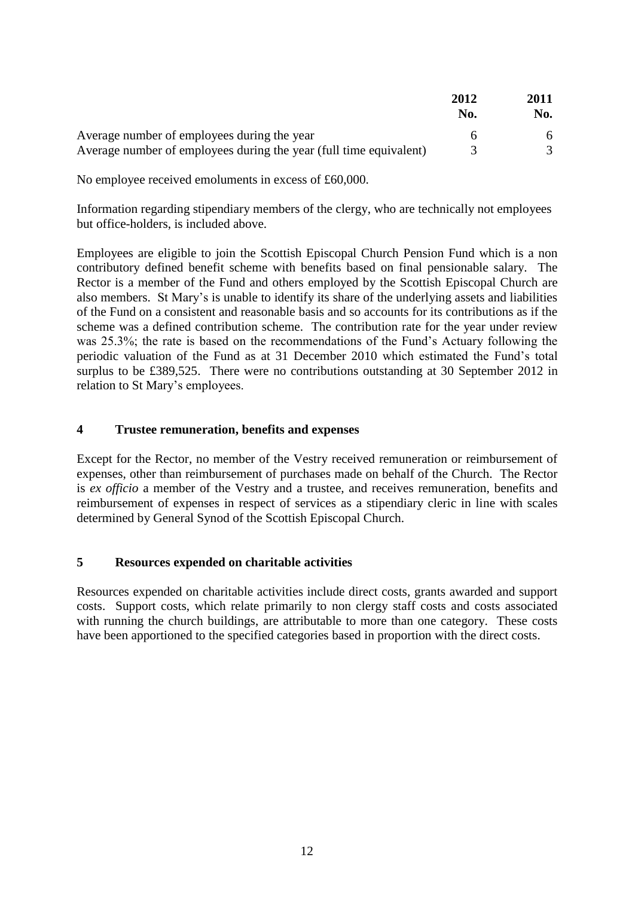|                                                                    | 2012<br>No. | 2011<br>No. |
|--------------------------------------------------------------------|-------------|-------------|
| Average number of employees during the year                        |             |             |
| Average number of employees during the year (full time equivalent) |             |             |

No employee received emoluments in excess of £60,000.

Information regarding stipendiary members of the clergy, who are technically not employees but office-holders, is included above.

Employees are eligible to join the Scottish Episcopal Church Pension Fund which is a non contributory defined benefit scheme with benefits based on final pensionable salary. The Rector is a member of the Fund and others employed by the Scottish Episcopal Church are also members. St Mary's is unable to identify its share of the underlying assets and liabilities of the Fund on a consistent and reasonable basis and so accounts for its contributions as if the scheme was a defined contribution scheme. The contribution rate for the year under review was 25.3%; the rate is based on the recommendations of the Fund's Actuary following the periodic valuation of the Fund as at 31 December 2010 which estimated the Fund's total surplus to be £389,525. There were no contributions outstanding at 30 September 2012 in relation to St Mary's employees.

#### **4 Trustee remuneration, benefits and expenses**

Except for the Rector, no member of the Vestry received remuneration or reimbursement of expenses, other than reimbursement of purchases made on behalf of the Church. The Rector is *ex officio* a member of the Vestry and a trustee, and receives remuneration, benefits and reimbursement of expenses in respect of services as a stipendiary cleric in line with scales determined by General Synod of the Scottish Episcopal Church.

#### **5 Resources expended on charitable activities**

Resources expended on charitable activities include direct costs, grants awarded and support costs. Support costs, which relate primarily to non clergy staff costs and costs associated with running the church buildings, are attributable to more than one category. These costs have been apportioned to the specified categories based in proportion with the direct costs.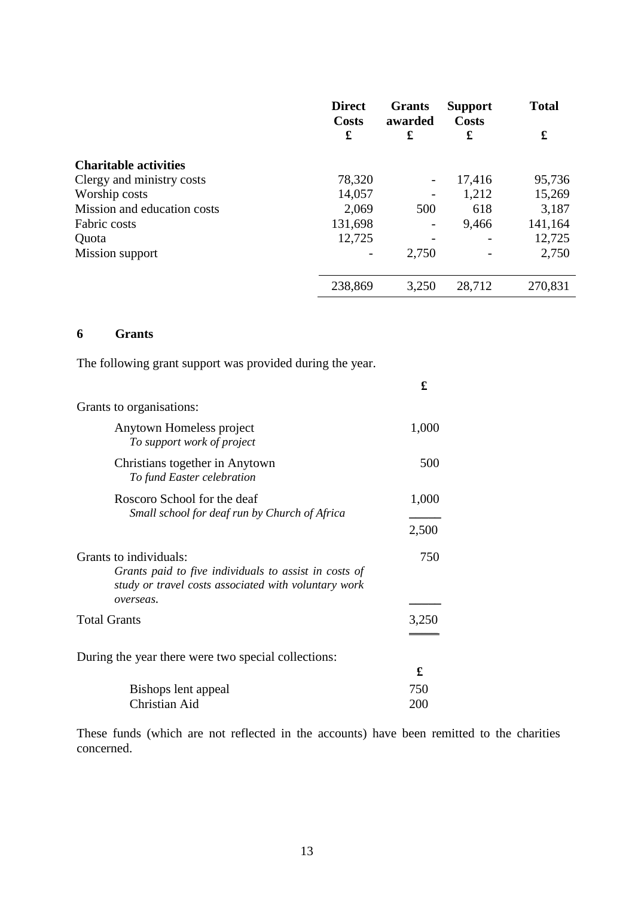|                              | <b>Direct</b><br>Costs | <b>Grants</b><br>awarded | <b>Support</b><br><b>Costs</b> | <b>Total</b> |
|------------------------------|------------------------|--------------------------|--------------------------------|--------------|
|                              | £                      | £                        | £                              | £            |
| <b>Charitable activities</b> |                        |                          |                                |              |
| Clergy and ministry costs    | 78,320                 | $\qquad \qquad -$        | 17,416                         | 95,736       |
| Worship costs                | 14,057                 | -                        | 1,212                          | 15,269       |
| Mission and education costs  | 2,069                  | 500                      | 618                            | 3,187        |
| Fabric costs                 | 131,698                |                          | 9,466                          | 141,164      |
| Quota                        | 12,725                 |                          |                                | 12,725       |
| Mission support              |                        | 2,750                    |                                | 2,750        |
|                              | 238,869                | 3,250                    | 28,712                         | 270,831      |

#### **6 Grants**

The following grant support was provided during the year.

|                                                                                                                                                      | £     |
|------------------------------------------------------------------------------------------------------------------------------------------------------|-------|
| Grants to organisations:                                                                                                                             |       |
| Anytown Homeless project<br>To support work of project                                                                                               | 1,000 |
| Christians together in Anytown<br>To fund Easter celebration                                                                                         | 500   |
| Roscoro School for the deaf<br>Small school for deaf run by Church of Africa                                                                         | 1,000 |
|                                                                                                                                                      | 2,500 |
| Grants to individuals:<br>Grants paid to five individuals to assist in costs of<br>study or travel costs associated with voluntary work<br>overseas. | 750   |
| <b>Total Grants</b>                                                                                                                                  | 3,250 |
| During the year there were two special collections:                                                                                                  |       |
|                                                                                                                                                      | £     |
| Bishops lent appeal                                                                                                                                  | 750   |
| Christian Aid                                                                                                                                        | 200   |

These funds (which are not reflected in the accounts) have been remitted to the charities concerned.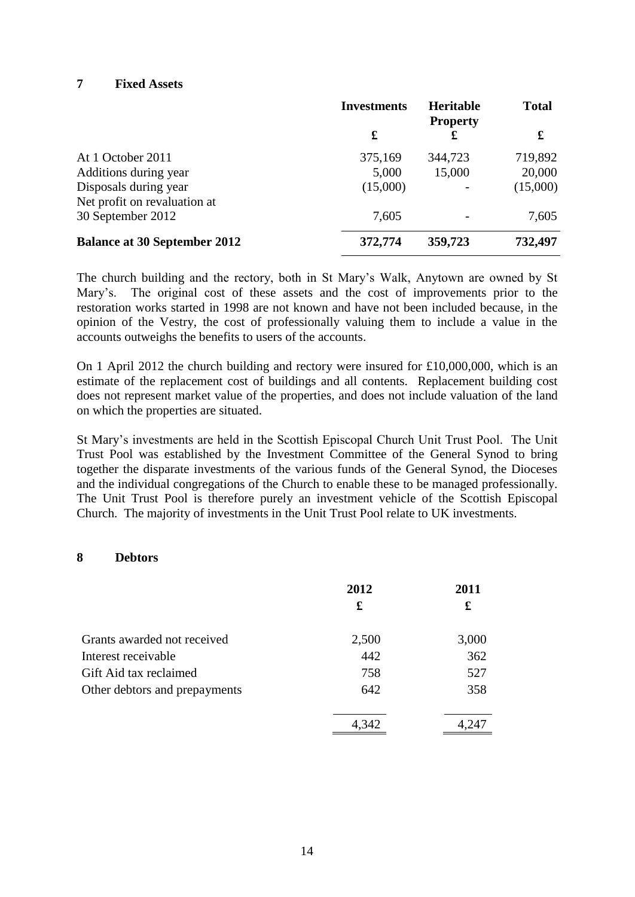#### **7 Fixed Assets**

|                                                       | <b>Investments</b> | <b>Heritable</b><br><b>Property</b> | <b>Total</b> |
|-------------------------------------------------------|--------------------|-------------------------------------|--------------|
|                                                       | £                  | £                                   | £            |
| At 1 October 2011                                     | 375,169            | 344,723                             | 719,892      |
| Additions during year                                 | 5,000              | 15,000                              | 20,000       |
| Disposals during year<br>Net profit on revaluation at | (15,000)           |                                     | (15,000)     |
| 30 September 2012                                     | 7,605              |                                     | 7,605        |
| <b>Balance at 30 September 2012</b>                   | 372,774            | 359,723                             | 732,497      |

The church building and the rectory, both in St Mary's Walk, Anytown are owned by St Mary's. The original cost of these assets and the cost of improvements prior to the restoration works started in 1998 are not known and have not been included because, in the opinion of the Vestry, the cost of professionally valuing them to include a value in the accounts outweighs the benefits to users of the accounts.

On 1 April 2012 the church building and rectory were insured for £10,000,000, which is an estimate of the replacement cost of buildings and all contents. Replacement building cost does not represent market value of the properties, and does not include valuation of the land on which the properties are situated.

St Mary's investments are held in the Scottish Episcopal Church Unit Trust Pool. The Unit Trust Pool was established by the Investment Committee of the General Synod to bring together the disparate investments of the various funds of the General Synod, the Dioceses and the individual congregations of the Church to enable these to be managed professionally. The Unit Trust Pool is therefore purely an investment vehicle of the Scottish Episcopal Church. The majority of investments in the Unit Trust Pool relate to UK investments.

#### **8 Debtors**

|                               | 2012  | 2011  |
|-------------------------------|-------|-------|
|                               | £     | £     |
| Grants awarded not received   | 2,500 | 3,000 |
| Interest receivable           | 442   | 362   |
| Gift Aid tax reclaimed        | 758   | 527   |
| Other debtors and prepayments | 642   | 358   |
|                               | 4,342 | 4.247 |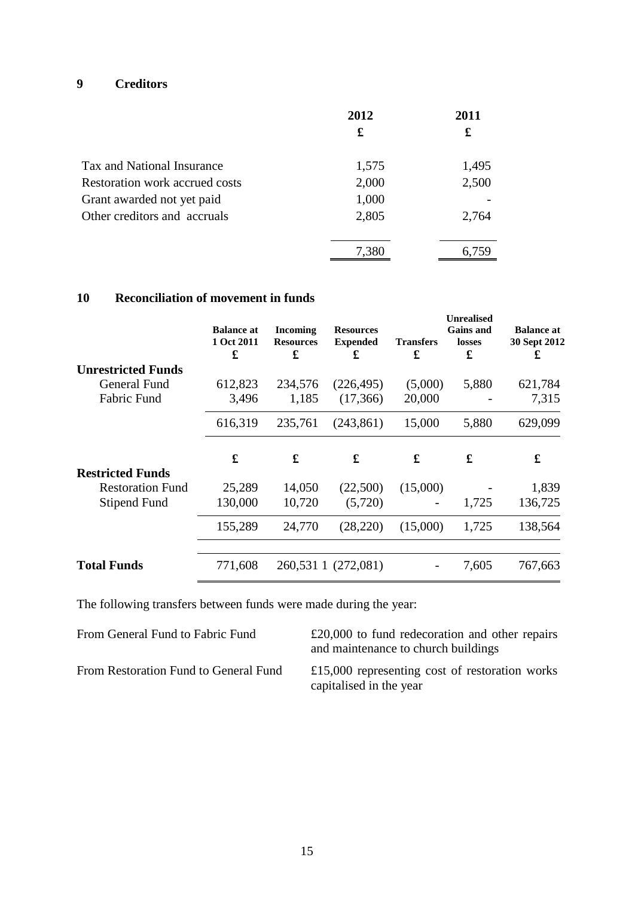### **9 Creditors**

|                                | 2012  | 2011  |  |
|--------------------------------|-------|-------|--|
|                                | £     | £     |  |
| Tax and National Insurance     | 1,575 | 1,495 |  |
| Restoration work accrued costs | 2,000 | 2,500 |  |
| Grant awarded not yet paid     | 1,000 |       |  |
| Other creditors and accruals   | 2,805 | 2,764 |  |
|                                | 7,380 | 6,759 |  |

#### **10 Reconciliation of movement in funds**

|                           | <b>Balance at</b><br>1 Oct 2011<br>£ | <b>Incoming</b><br><b>Resources</b><br>£ | <b>Resources</b><br><b>Expended</b><br>£ | <b>Transfers</b><br>£ | <b>Unrealised</b><br><b>Gains and</b><br>losses<br>£ | <b>Balance at</b><br>30 Sept 2012<br>£ |
|---------------------------|--------------------------------------|------------------------------------------|------------------------------------------|-----------------------|------------------------------------------------------|----------------------------------------|
| <b>Unrestricted Funds</b> |                                      |                                          |                                          |                       |                                                      |                                        |
| General Fund              | 612,823                              | 234,576                                  | (226, 495)                               | (5,000)               | 5,880                                                | 621,784                                |
| <b>Fabric Fund</b>        | 3,496                                | 1,185                                    | (17,366)                                 | 20,000                |                                                      | 7,315                                  |
|                           | 616,319                              | 235,761                                  | (243, 861)                               | 15,000                | 5,880                                                | 629,099                                |
|                           | £                                    | £                                        | £                                        | £                     | £                                                    | £                                      |
| <b>Restricted Funds</b>   |                                      |                                          |                                          |                       |                                                      |                                        |
| <b>Restoration Fund</b>   | 25,289                               | 14,050                                   | (22,500)                                 | (15,000)              |                                                      | 1,839                                  |
| <b>Stipend Fund</b>       | 130,000                              | 10,720                                   | (5,720)                                  | -                     | 1,725                                                | 136,725                                |
|                           | 155,289                              | 24,770                                   | (28, 220)                                | (15,000)              | 1,725                                                | 138,564                                |
| <b>Total Funds</b>        | 771,608                              |                                          | 260,531 1 (272,081)                      |                       | 7,605                                                | 767,663                                |
|                           |                                      |                                          |                                          |                       |                                                      |                                        |

The following transfers between funds were made during the year:

| From General Fund to Fabric Fund      | $£20,000$ to fund redecoration and other repairs<br>and maintenance to church buildings |
|---------------------------------------|-----------------------------------------------------------------------------------------|
| From Restoration Fund to General Fund | £15,000 representing cost of restoration works<br>capitalised in the year               |